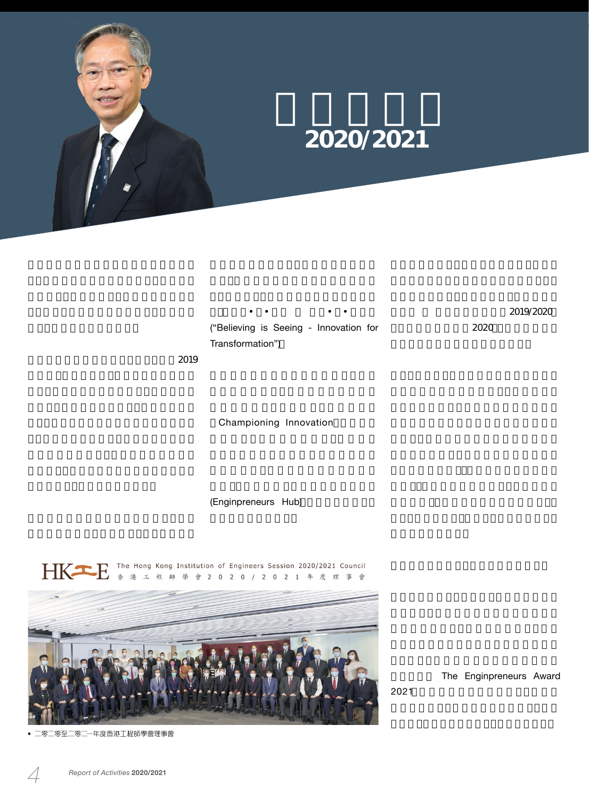

師學會 工程學優秀學生獎2019/2020」

2020

("Believing is Seeing - Innovation for Transformation")

工程師善於應付各種挑戰。然而,對抗2019

Championing Innovation

(Enginpreneurs Hub)



2021

The Enginpreneurs Award

零二零至二零二一年度香港工程師學<mark>會理事會</mark>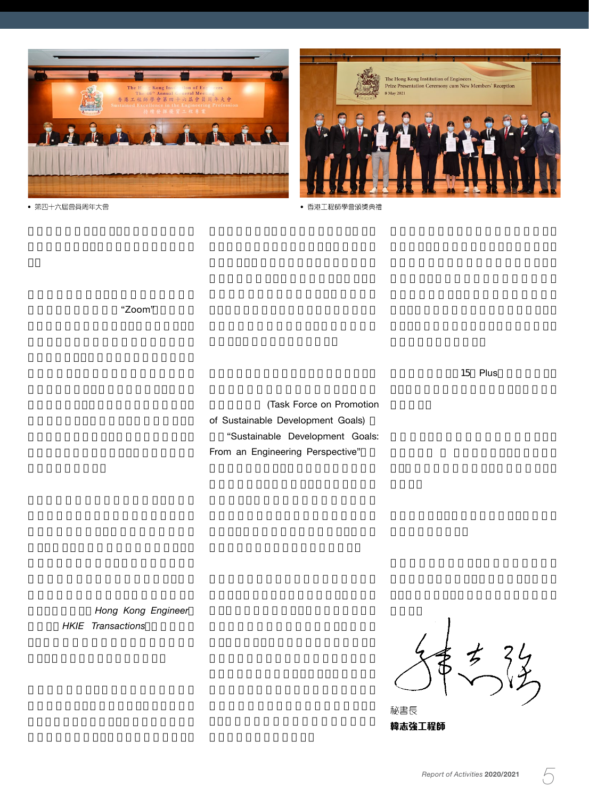



The Hong Kong Institution of Engineers<br>Prize Presentation Ceremony cum New Members' Reception 8 May 2021

• 香港工程師學會頒獎典禮

聽設備及視訊會議系統"Zoom",以確保網

15 Plus

(Task Force on Promotion of Sustainable Development Goals) "Sustainable Development Goals: From an Engineering Perspective"

Hong Kong Engineer **HKIE** Transactions

 $\overrightarrow{z}$  $34$ 

秘書長 韓志強工程師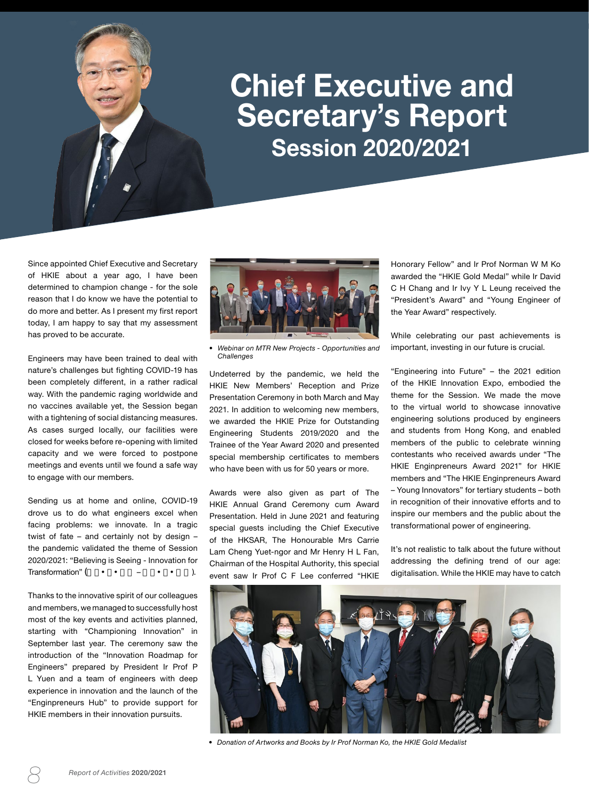## **Chief Executive and Secretary's Report Session 2020/2021**

Since appointed Chief Executive and Secretary of HKIE about a year ago, I have been determined to champion change - for the sole reason that I do know we have the potential to do more and better. As I present my first report today, I am happy to say that my assessment has proved to be accurate.

Engineers may have been trained to deal with nature's challenges but fighting COVID-19 has been completely different, in a rather radical way. With the pandemic raging worldwide and no vaccines available yet, the Session began with a tightening of social distancing measures. As cases surged locally, our facilities were closed for weeks before re-opening with limited capacity and we were forced to postpone meetings and events until we found a safe way to engage with our members.

Sending us at home and online, COVID-19 drove us to do what engineers excel when facing problems: we innovate. In a tragic twist of fate – and certainly not by design – the pandemic validated the theme of Session 2020/2021: "Believing is Seeing - Innovation for Transformation" (
and  $\overline{a}$  –  $\overline{a}$ ).

Thanks to the innovative spirit of our colleagues and members, we managed to successfully host most of the key events and activities planned, starting with "Championing Innovation" in September last year. The ceremony saw the introduction of the "Innovation Roadmap for Engineers" prepared by President Ir Prof P L Yuen and a team of engineers with deep experience in innovation and the launch of the "Enginpreneurs Hub" to provide support for HKIE members in their innovation pursuits.



*• Webinar on MTR New Projects - Opportunities and Challenges*

Undeterred by the pandemic, we held the HKIE New Members' Reception and Prize Presentation Ceremony in both March and May 2021. In addition to welcoming new members, we awarded the HKIE Prize for Outstanding Engineering Students 2019/2020 and the Trainee of the Year Award 2020 and presented special membership certificates to members who have been with us for 50 years or more.

Awards were also given as part of The HKIE Annual Grand Ceremony cum Award Presentation. Held in June 2021 and featuring special guests including the Chief Executive of the HKSAR, The Honourable Mrs Carrie Lam Cheng Yuet-ngor and Mr Henry H L Fan, Chairman of the Hospital Authority, this special event saw Ir Prof C F Lee conferred "HKIE Honorary Fellow" and Ir Prof Norman W M Ko awarded the "HKIE Gold Medal" while Ir David C H Chang and Ir Ivy Y L Leung received the "President's Award" and "Young Engineer of the Year Award" respectively.

While celebrating our past achievements is important, investing in our future is crucial.

"Engineering into Future" – the 2021 edition of the HKIE Innovation Expo, embodied the theme for the Session. We made the move to the virtual world to showcase innovative engineering solutions produced by engineers and students from Hong Kong, and enabled members of the public to celebrate winning contestants who received awards under "The HKIE Enginpreneurs Award 2021" for HKIE members and "The HKIE Enginpreneurs Award – Young Innovators" for tertiary students – both in recognition of their innovative efforts and to inspire our members and the public about the transformational power of engineering.

It's not realistic to talk about the future without addressing the defining trend of our age: digitalisation. While the HKIE may have to catch



*• Donation of Artworks and Books by Ir Prof Norman Ko, the HKIE Gold Medalist*